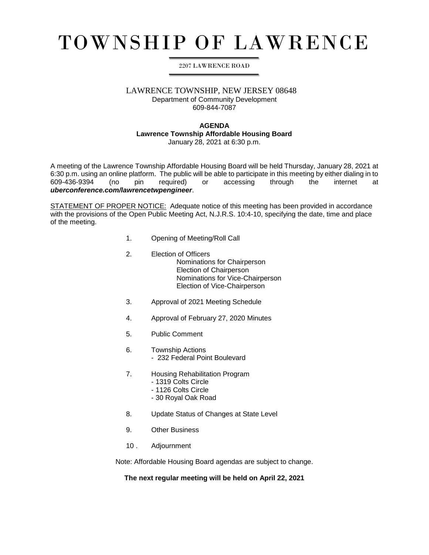# TOWNSHIP OF LAWRENCE

### 2207 LAWRENCE ROAD

# LAWRENCE TOWNSHIP, NEW JERSEY 08648

Department of Community Development 609-844-7087

#### **AGENDA**

## **Lawrence Township Affordable Housing Board**

January 28, 2021 at 6:30 p.m.

A meeting of the Lawrence Township Affordable Housing Board will be held Thursday, January 28, 2021 at 6:30 p.m. using an online platform. The public will be able to participate in this meeting by either dialing in to 609-436-9394 (no pin required) or accessing through the internet at *uberconference.com/lawrencetwpengineer*.

STATEMENT OF PROPER NOTICE: Adequate notice of this meeting has been provided in accordance with the provisions of the Open Public Meeting Act, N.J.R.S. 10:4-10, specifying the date, time and place of the meeting.

- 1. Opening of Meeting/Roll Call
- 2. Election of Officers Nominations for Chairperson Election of Chairperson Nominations for Vice-Chairperson Election of Vice-Chairperson
- 3. Approval of 2021 Meeting Schedule
- 4. Approval of February 27, 2020 Minutes
- 5. Public Comment
- 6. Township Actions - 232 Federal Point Boulevard
- 7. Housing Rehabilitation Program
	- 1319 Colts Circle
	- 1126 Colts Circle
	- 30 Royal Oak Road
- 8. Update Status of Changes at State Level
- 9. Other Business
- 10 . Adjournment

Note: Affordable Housing Board agendas are subject to change.

**The next regular meeting will be held on April 22, 2021**